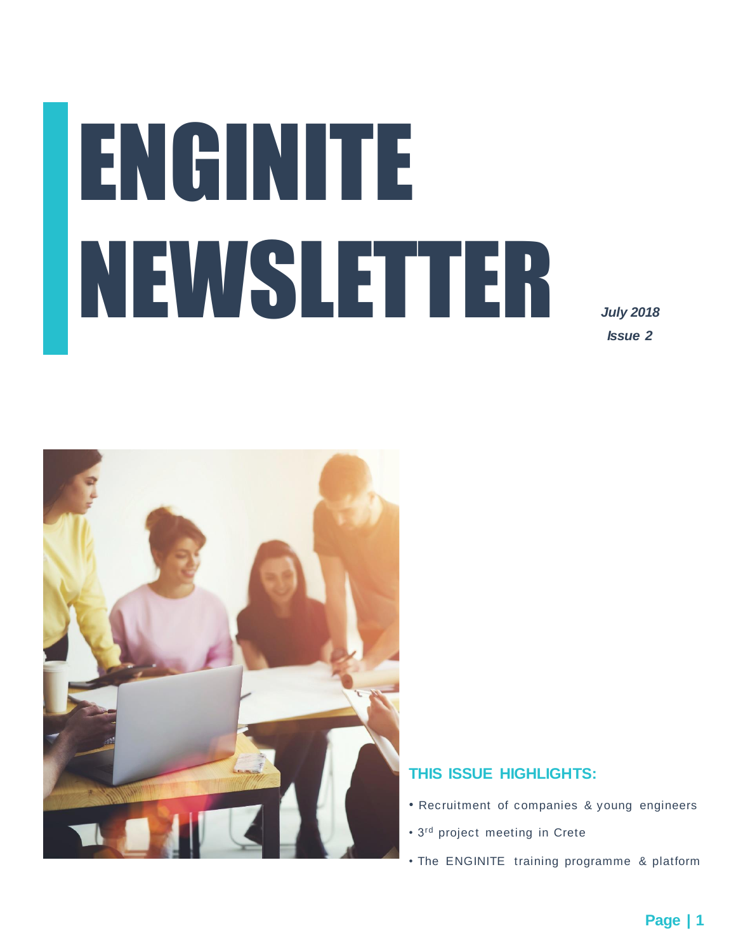# ENGINITE NEWSLETTER

*July 2018 Issue 2*



#### **THIS ISSUE HIGHLIGHTS:**

- Recruitment of companies & young engineers
- 3rd project meeting in Crete
- The ENGINITE training programme & platform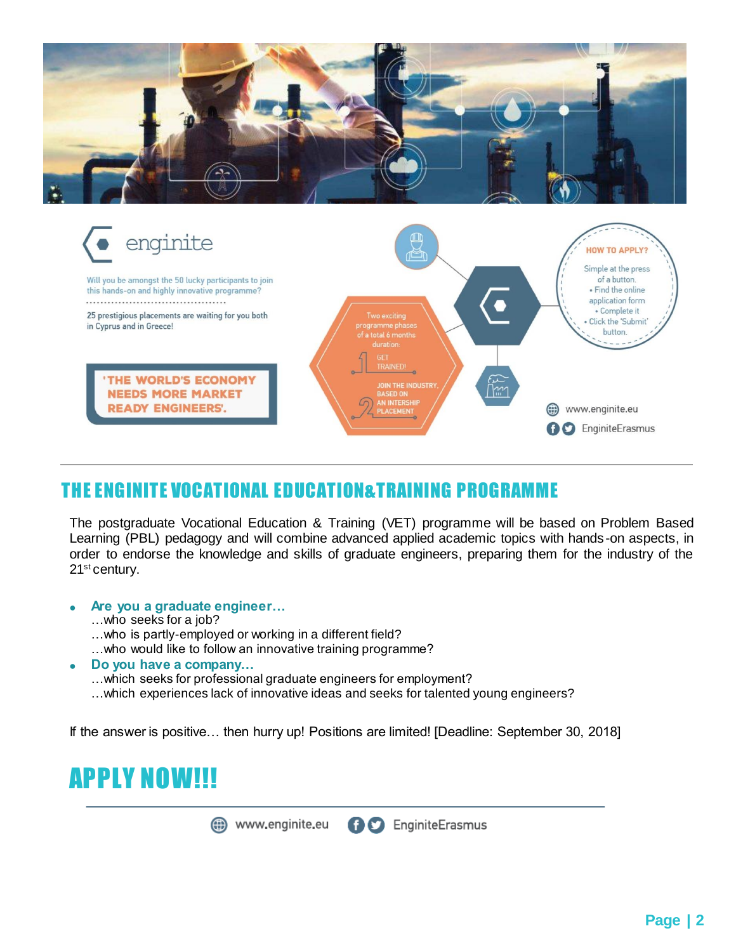



### THE ENGINITE VOCATIONAL EDUCATION&TRAINING PROGRAMME

The postgraduate Vocational Education & Training (VET) programme will be based on Problem Based Learning (PBL) pedagogy and will combine advanced applied academic topics with hands-on aspects, in order to endorse the knowledge and skills of graduate engineers, preparing them for the industry of the 21<sup>st</sup> century.

- **Are you a graduate engineer…**
	- …who seeks for a job?
	- …who is partly-employed or working in a different field?
	- …who would like to follow an innovative training programme?
- **Do you have a company…**
	- …which seeks for professional graduate engineers for employment?
	- …which experiences lack of innovative ideas and seeks for talented young engineers?

If the answer is positive… then hurry up! Positions are limited! [Deadline: September 30, 2018]

## APPLY NOW!!!

**O** EnginiteErasmus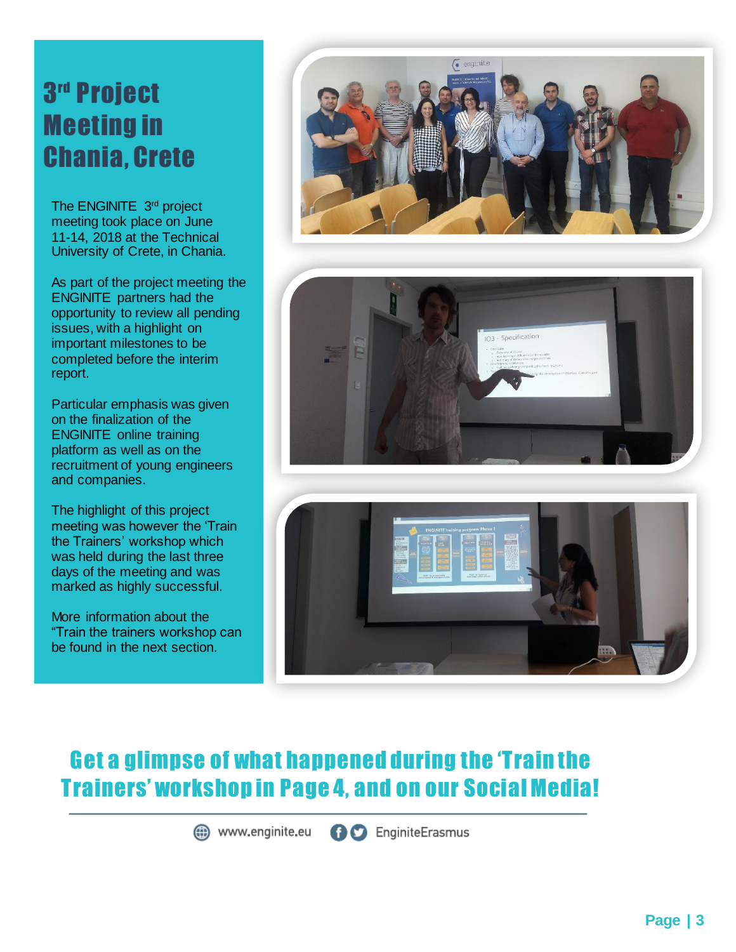# 3 rd Project Meeting in Chania, Crete

meeting took place on June The ENGINITE 3rd project 11-14, 2018 at the Technical University of Crete, in Chania.

As part of the project meeting the ENGINITE partners had the opportunity to review all pending issues, with a highlight on important milestones to be completed before the interim report.

Particular emphasis was given on the finalization of the ENGINITE online training platform as well as on the recruitment of young engineers and companies.

The highlight of this project meeting was however the 'Train the Trainers' workshop which was held during the last three days of the meeting and was marked as highly successful.

More information about the "Train the trainers workshop can be found in the next section.







## Get a glimpse of what happened during the 'Train the Trainers' workshop in Page 4, and on our Social Media!

(iii) www.enginite.eu **AC** EnginiteErasmus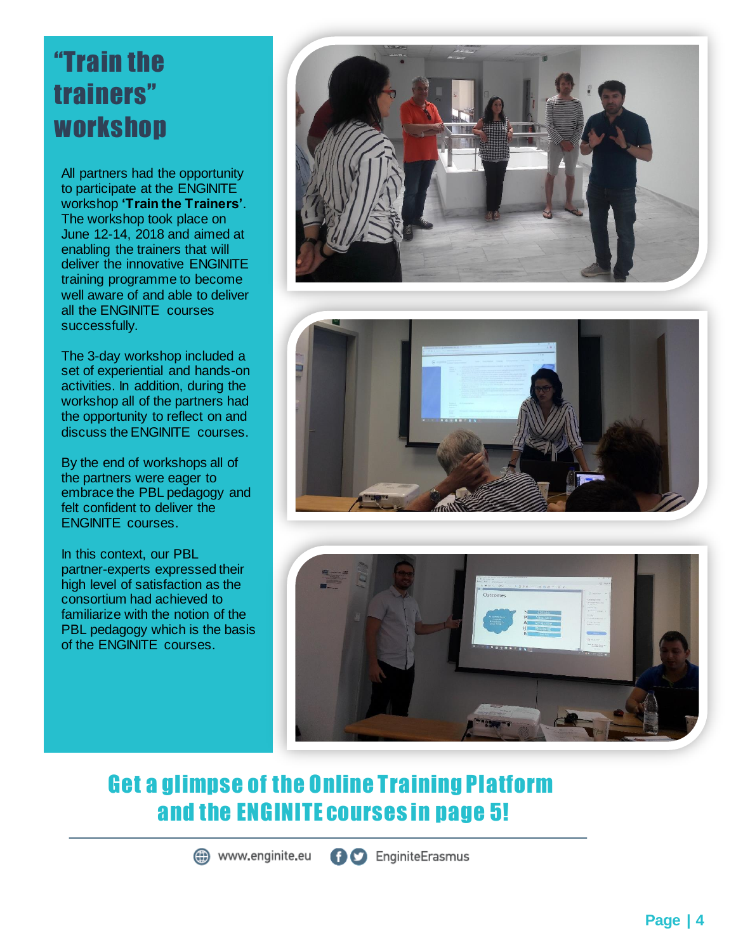# "Train the trainers" workshop

All partners had the opportunity to participate at the ENGINITE workshop **'Train the Trainers'**. The workshop took place on June 12-14, 2018 and aimed at enabling the trainers that will deliver the innovative ENGINITE training programme to become well aware of and able to deliver all the ENGINITE courses successfully.

The 3-day workshop included a set of experiential and hands-on activities. In addition, during the workshop all of the partners had the opportunity to reflect on and discuss the ENGINITE courses.

By the end of workshops all of the partners were eager to embrace the PBL pedagogy and felt confident to deliver the ENGINITE courses.

In this context, our PBL partner-experts expressed their high level of satisfaction as the consortium had achieved to familiarize with the notion of the PBL pedagogy which is the basis of the ENGINITE courses.







## Get a glimpse of the Online Training Platform and the ENGINITE courses in page 5!

(iii) www.enginite.eu

**AC** EnginiteErasmus